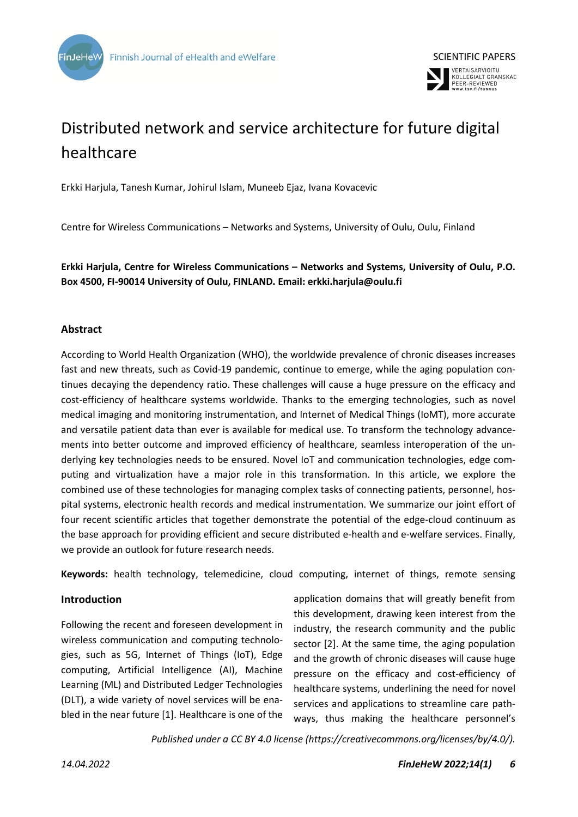



# Distributed network and service architecture for future digital healthcare

Erkki Harjula, Tanesh Kumar, Johirul Islam, Muneeb Ejaz, Ivana Kovacevic

Centre for Wireless Communications – Networks and Systems, University of Oulu, Oulu, Finland

**Erkki Harjula, Centre for Wireless Communications – Networks and Systems, University of Oulu, P.O. Box 4500, FI-90014 University of Oulu, FINLAND. Email: erkki.harjula@oulu.fi**

### **Abstract**

According to World Health Organization (WHO), the worldwide prevalence of chronic diseases increases fast and new threats, such as Covid-19 pandemic, continue to emerge, while the aging population continues decaying the dependency ratio. These challenges will cause a huge pressure on the efficacy and cost-efficiency of healthcare systems worldwide. Thanks to the emerging technologies, such as novel medical imaging and monitoring instrumentation, and Internet of Medical Things (IoMT), more accurate and versatile patient data than ever is available for medical use. To transform the technology advancements into better outcome and improved efficiency of healthcare, seamless interoperation of the underlying key technologies needs to be ensured. Novel IoT and communication technologies, edge computing and virtualization have a major role in this transformation. In this article, we explore the combined use of these technologies for managing complex tasks of connecting patients, personnel, hospital systems, electronic health records and medical instrumentation. We summarize our joint effort of four recent scientific articles that together demonstrate the potential of the edge-cloud continuum as the base approach for providing efficient and secure distributed e-health and e-welfare services. Finally, we provide an outlook for future research needs.

**Keywords:** health technology, telemedicine, cloud computing, internet of things, remote sensing

#### **Introduction**

Following the recent and foreseen development in wireless communication and computing technologies, such as 5G, Internet of Things (IoT), Edge computing, Artificial Intelligence (AI), Machine Learning (ML) and Distributed Ledger Technologies (DLT), a wide variety of novel services will be enabled in the near future [1]. Healthcare is one of the

application domains that will greatly benefit from this development, drawing keen interest from the industry, the research community and the public sector [2]. At the same time, the aging population and the growth of chronic diseases will cause huge pressure on the efficacy and cost-efficiency of healthcare systems, underlining the need for novel services and applications to streamline care pathways, thus making the healthcare personnel's

*Published under a CC BY 4.0 license (https://creativecommons.org/licenses/by/4.0/).*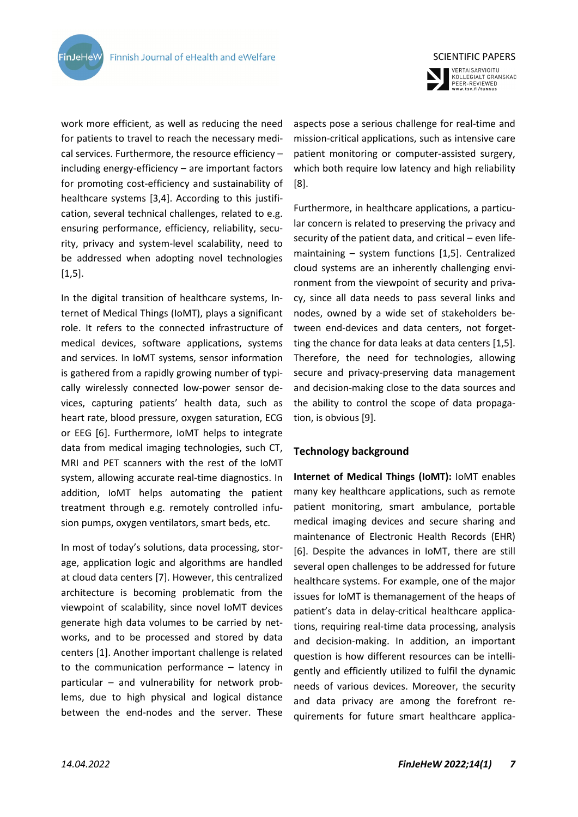**FinJeHeW** 



VERTAISARVIOITU<br>KOLLEGIALT GRANSKAD<br>PEER-REVIEWED<br>www.tsv.fi/tunnus

work more efficient, as well as reducing the need for patients to travel to reach the necessary medical services. Furthermore, the resource efficiency – including energy-efficiency – are important factors for promoting cost-efficiency and sustainability of healthcare systems [3,4]. According to this justification, several technical challenges, related to e.g. ensuring performance, efficiency, reliability, security, privacy and system-level scalability, need to be addressed when adopting novel technologies  $[1,5]$ .

In the digital transition of healthcare systems, Internet of Medical Things (IoMT), plays a significant role. It refers to the connected infrastructure of medical devices, software applications, systems and services. In IoMT systems, sensor information is gathered from a rapidly growing number of typically wirelessly connected low-power sensor devices, capturing patients' health data, such as heart rate, blood pressure, oxygen saturation, ECG or EEG [6]. Furthermore, IoMT helps to integrate data from medical imaging technologies, such CT, MRI and PET scanners with the rest of the IoMT system, allowing accurate real-time diagnostics. In addition, IoMT helps automating the patient treatment through e.g. remotely controlled infusion pumps, oxygen ventilators, smart beds, etc.

In most of today's solutions, data processing, storage, application logic and algorithms are handled at cloud data centers [7]. However, this centralized architecture is becoming problematic from the viewpoint of scalability, since novel IoMT devices generate high data volumes to be carried by networks, and to be processed and stored by data centers [1]. Another important challenge is related to the communication performance – latency in particular – and vulnerability for network problems, due to high physical and logical distance between the end-nodes and the server. These

aspects pose a serious challenge for real-time and mission-critical applications, such as intensive care patient monitoring or computer-assisted surgery, which both require low latency and high reliability [8].

Furthermore, in healthcare applications, a particular concern is related to preserving the privacy and security of the patient data, and critical – even lifemaintaining – system functions [1,5]. Centralized cloud systems are an inherently challenging environment from the viewpoint of security and privacy, since all data needs to pass several links and nodes, owned by a wide set of stakeholders between end-devices and data centers, not forgetting the chance for data leaks at data centers [1,5]. Therefore, the need for technologies, allowing secure and privacy-preserving data management and decision-making close to the data sources and the ability to control the scope of data propagation, is obvious [9].

#### **Technology background**

**Internet of Medical Things (IoMT):** IoMT enables many key healthcare applications, such as remote patient monitoring, smart ambulance, portable medical imaging devices and secure sharing and maintenance of Electronic Health Records (EHR) [6]. Despite the advances in IoMT, there are still several open challenges to be addressed for future healthcare systems. For example, one of the major issues for IoMT is themanagement of the heaps of patient's data in delay-critical healthcare applications, requiring real-time data processing, analysis and decision-making. In addition, an important question is how different resources can be intelligently and efficiently utilized to fulfil the dynamic needs of various devices. Moreover, the security and data privacy are among the forefront requirements for future smart healthcare applica-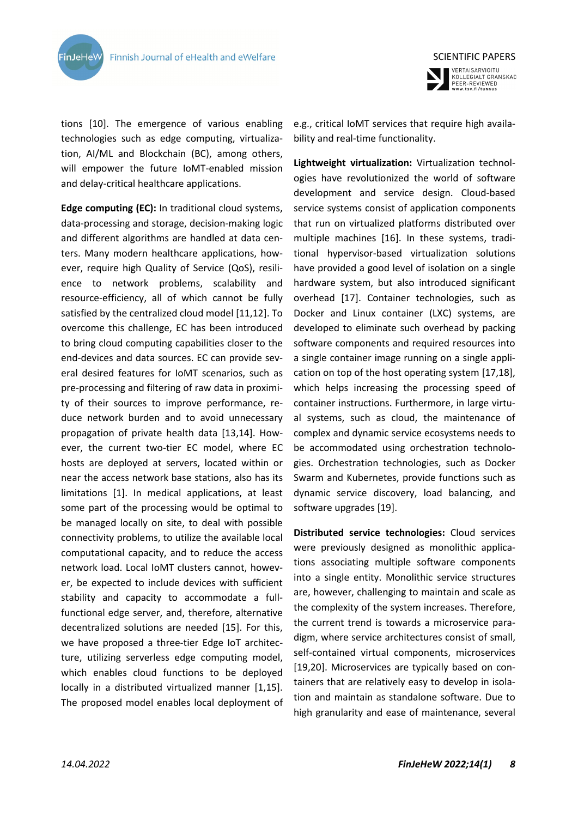



tions [10]. The emergence of various enabling technologies such as edge computing, virtualization, AI/ML and Blockchain (BC), among others, will empower the future IoMT-enabled mission and delay-critical healthcare applications.

**Edge computing (EC):** In traditional cloud systems, data-processing and storage, decision-making logic and different algorithms are handled at data centers. Many modern healthcare applications, however, require high Quality of Service (QoS), resilience to network problems, scalability and resource-efficiency, all of which cannot be fully satisfied by the centralized cloud model [11,12]. To overcome this challenge, EC has been introduced to bring cloud computing capabilities closer to the end-devices and data sources. EC can provide several desired features for IoMT scenarios, such as pre-processing and filtering of raw data in proximity of their sources to improve performance, reduce network burden and to avoid unnecessary propagation of private health data [13,14]. However, the current two-tier EC model, where EC hosts are deployed at servers, located within or near the access network base stations, also has its limitations [1]. In medical applications, at least some part of the processing would be optimal to be managed locally on site, to deal with possible connectivity problems, to utilize the available local computational capacity, and to reduce the access network load. Local IoMT clusters cannot, however, be expected to include devices with sufficient stability and capacity to accommodate a fullfunctional edge server, and, therefore, alternative decentralized solutions are needed [15]. For this, we have proposed a three-tier Edge IoT architecture, utilizing serverless edge computing model, which enables cloud functions to be deployed locally in a distributed virtualized manner [1,15]. The proposed model enables local deployment of

e.g., critical IoMT services that require high availability and real-time functionality.

**Lightweight virtualization:** Virtualization technologies have revolutionized the world of software development and service design. Cloud-based service systems consist of application components that run on virtualized platforms distributed over multiple machines [16]. In these systems, traditional hypervisor-based virtualization solutions have provided a good level of isolation on a single hardware system, but also introduced significant overhead [17]. Container technologies, such as Docker and Linux container (LXC) systems, are developed to eliminate such overhead by packing software components and required resources into a single container image running on a single application on top of the host operating system [17,18], which helps increasing the processing speed of container instructions. Furthermore, in large virtual systems, such as cloud, the maintenance of complex and dynamic service ecosystems needs to be accommodated using orchestration technologies. Orchestration technologies, such as Docker Swarm and Kubernetes, provide functions such as dynamic service discovery, load balancing, and software upgrades [19].

**Distributed service technologies:** Cloud services were previously designed as monolithic applications associating multiple software components into a single entity. Monolithic service structures are, however, challenging to maintain and scale as the complexity of the system increases. Therefore, the current trend is towards a microservice paradigm, where service architectures consist of small, self-contained virtual components, microservices [19,20]. Microservices are typically based on containers that are relatively easy to develop in isolation and maintain as standalone software. Due to high granularity and ease of maintenance, several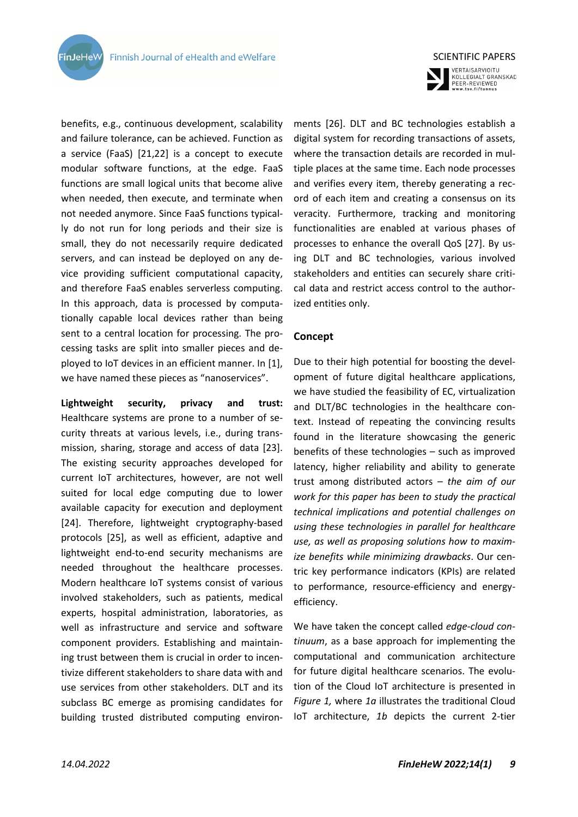benefits, e.g., continuous development, scalability and failure tolerance, can be achieved. Function as a service (FaaS) [21,22] is a concept to execute modular software functions, at the edge. FaaS functions are small logical units that become alive when needed, then execute, and terminate when not needed anymore. Since FaaS functions typically do not run for long periods and their size is small, they do not necessarily require dedicated servers, and can instead be deployed on any device providing sufficient computational capacity, and therefore FaaS enables serverless computing. In this approach, data is processed by computationally capable local devices rather than being sent to a central location for processing. The processing tasks are split into smaller pieces and deployed to IoT devices in an efficient manner. In [1], we have named these pieces as "nanoservices".

**Lightweight security, privacy and trust:** Healthcare systems are prone to a number of security threats at various levels, i.e., during transmission, sharing, storage and access of data [23]. The existing security approaches developed for current IoT architectures, however, are not well suited for local edge computing due to lower available capacity for execution and deployment [24]. Therefore, lightweight cryptography-based protocols [25], as well as efficient, adaptive and lightweight end-to-end security mechanisms are needed throughout the healthcare processes. Modern healthcare IoT systems consist of various involved stakeholders, such as patients, medical experts, hospital administration, laboratories, as well as infrastructure and service and software component providers. Establishing and maintaining trust between them is crucial in order to incentivize different stakeholders to share data with and use services from other stakeholders. DLT and its subclass BC emerge as promising candidates for building trusted distributed computing environ-



VERTAISARVIOITU<br>KOLLEGIALT GRANSKAD<br>PEER-REVIEWED<br>www.tsv.fi/tunnus

ments [26]. DLT and BC technologies establish a digital system for recording transactions of assets, where the transaction details are recorded in multiple places at the same time. Each node processes and verifies every item, thereby generating a record of each item and creating a consensus on its veracity. Furthermore, tracking and monitoring functionalities are enabled at various phases of processes to enhance the overall QoS [27]. By using DLT and BC technologies, various involved stakeholders and entities can securely share critical data and restrict access control to the authorized entities only.

#### **Concept**

Due to their high potential for boosting the development of future digital healthcare applications, we have studied the feasibility of EC, virtualization and DLT/BC technologies in the healthcare context. Instead of repeating the convincing results found in the literature showcasing the generic benefits of these technologies – such as improved latency, higher reliability and ability to generate trust among distributed actors – *the aim of our work for this paper has been to study the practical technical implications and potential challenges on using these technologies in parallel for healthcare use, as well as proposing solutions how to maximize benefits while minimizing drawbacks*. Our centric key performance indicators (KPIs) are related to performance, resource-efficiency and energyefficiency.

We have taken the concept called *edge-cloud continuum*, as a base approach for implementing the computational and communication architecture for future digital healthcare scenarios. The evolution of the Cloud IoT architecture is presented in *Figure 1,* where *1a* illustrates the traditional Cloud IoT architecture, *1b* depicts the current 2-tier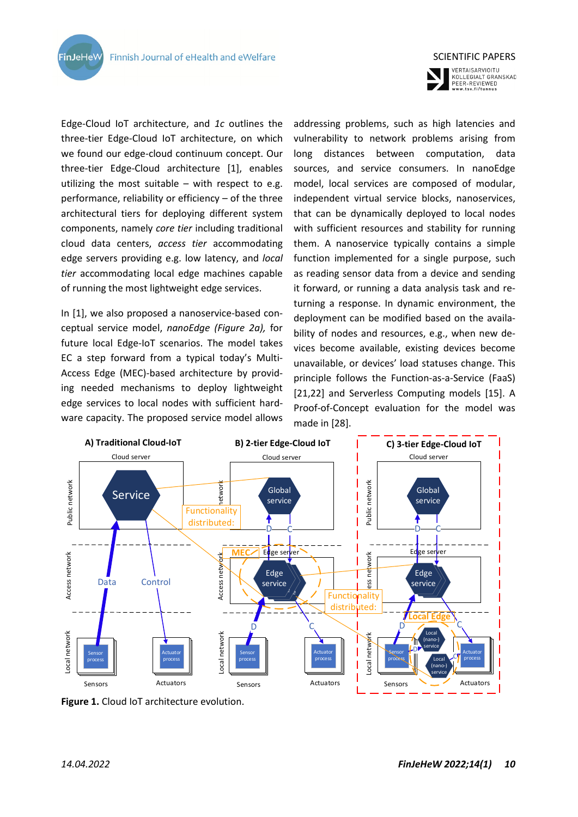**FinJeHeW** 



VERTAISARVIOITU **KOLLEGIALT GRANSKAD<br>PEER-REVIEWED<br>www.tsv.fi/tunnus** 

Edge-Cloud IoT architecture, and *1c* outlines the three-tier Edge-Cloud IoT architecture, on which we found our edge-cloud continuum concept. Our three-tier Edge-Cloud architecture [1], enables utilizing the most suitable  $-$  with respect to e.g. performance, reliability or efficiency – of the three architectural tiers for deploying different system components, namely *core tier* including traditional cloud data centers, *access tier* accommodating edge servers providing e.g. low latency, and *local tier* accommodating local edge machines capable of running the most lightweight edge services.

In [1], we also proposed a nanoservice-based conceptual service model, *nanoEdge (Figure 2a),* for future local Edge-IoT scenarios. The model takes EC a step forward from a typical today's Multi-Access Edge (MEC)-based architecture by providing needed mechanisms to deploy lightweight edge services to local nodes with sufficient hardware capacity. The proposed service model allows addressing problems, such as high latencies and vulnerability to network problems arising from long distances between computation, data sources, and service consumers. In nanoEdge model, local services are composed of modular, independent virtual service blocks, nanoservices, that can be dynamically deployed to local nodes with sufficient resources and stability for running them. A nanoservice typically contains a simple function implemented for a single purpose, such as reading sensor data from a device and sending it forward, or running a data analysis task and returning a response. In dynamic environment, the deployment can be modified based on the availability of nodes and resources, e.g., when new devices become available, existing devices become unavailable, or devices' load statuses change. This principle follows the Function-as-a-Service (FaaS) [21,22] and Serverless Computing models [15]. A Proof-of-Concept evaluation for the model was made in [28].



**Figure 1.** Cloud IoT architecture evolution.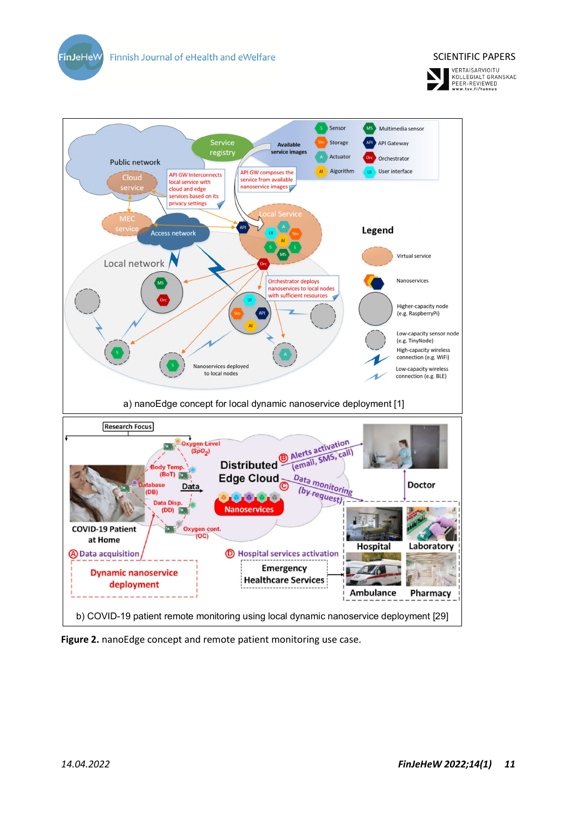

**Figure 2.** nanoEdge concept and remote patient monitoring use case.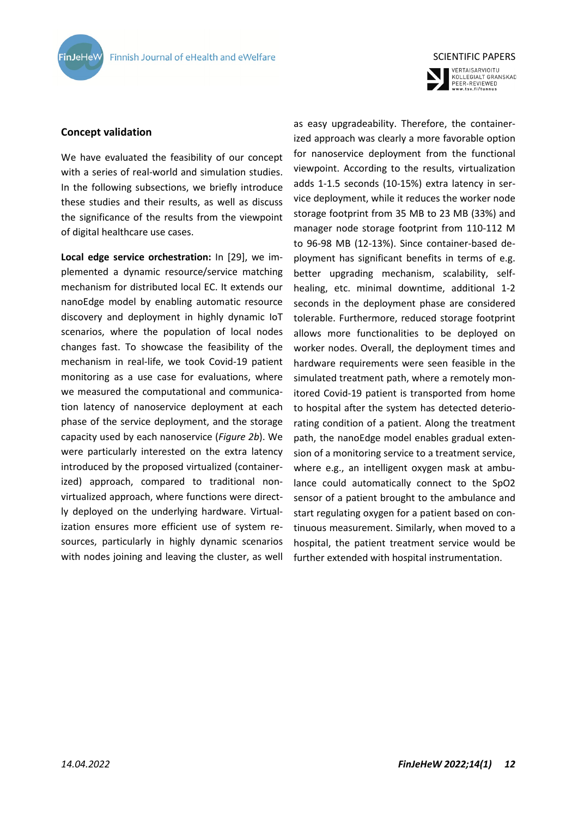



#### **Concept validation**

We have evaluated the feasibility of our concept with a series of real-world and simulation studies. In the following subsections, we briefly introduce these studies and their results, as well as discuss the significance of the results from the viewpoint of digital healthcare use cases.

**Local edge service orchestration:** In [29], we implemented a dynamic resource/service matching mechanism for distributed local EC. It extends our nanoEdge model by enabling automatic resource discovery and deployment in highly dynamic IoT scenarios, where the population of local nodes changes fast. To showcase the feasibility of the mechanism in real-life, we took Covid-19 patient monitoring as a use case for evaluations, where we measured the computational and communication latency of nanoservice deployment at each phase of the service deployment, and the storage capacity used by each nanoservice (*Figure 2b*). We were particularly interested on the extra latency introduced by the proposed virtualized (containerized) approach, compared to traditional nonvirtualized approach, where functions were directly deployed on the underlying hardware. Virtualization ensures more efficient use of system resources, particularly in highly dynamic scenarios with nodes joining and leaving the cluster, as well as easy upgradeability. Therefore, the containerized approach was clearly a more favorable option for nanoservice deployment from the functional viewpoint. According to the results, virtualization adds 1-1.5 seconds (10-15%) extra latency in service deployment, while it reduces the worker node storage footprint from 35 MB to 23 MB (33%) and manager node storage footprint from 110-112 M to 96-98 MB (12-13%). Since container-based deployment has significant benefits in terms of e.g. better upgrading mechanism, scalability, selfhealing, etc. minimal downtime, additional 1-2 seconds in the deployment phase are considered tolerable. Furthermore, reduced storage footprint allows more functionalities to be deployed on worker nodes. Overall, the deployment times and hardware requirements were seen feasible in the simulated treatment path, where a remotely monitored Covid-19 patient is transported from home to hospital after the system has detected deteriorating condition of a patient. Along the treatment path, the nanoEdge model enables gradual extension of a monitoring service to a treatment service, where e.g., an intelligent oxygen mask at ambulance could automatically connect to the SpO2 sensor of a patient brought to the ambulance and start regulating oxygen for a patient based on continuous measurement. Similarly, when moved to a hospital, the patient treatment service would be further extended with hospital instrumentation.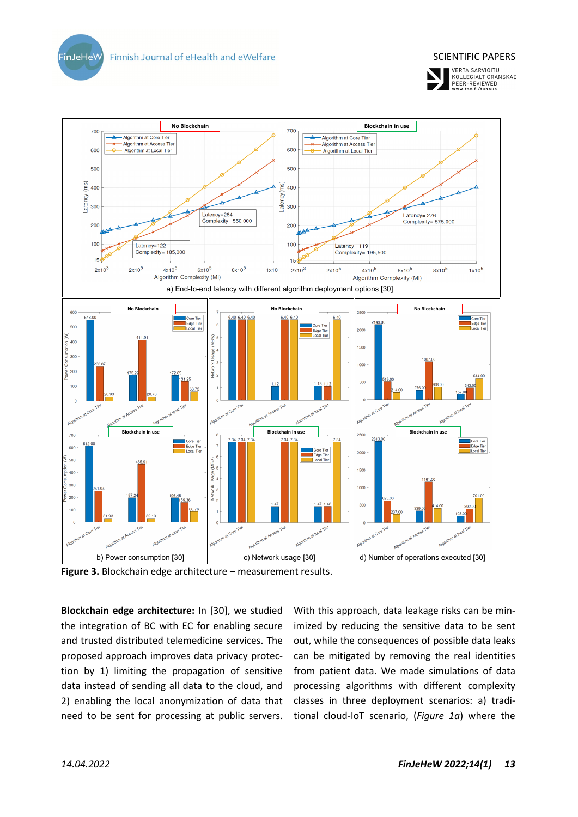Finnish Journal of eHealth and eWelfare

**FinJeHeW** 





**Figure 3.** Blockchain edge architecture – measurement results.

**Blockchain edge architecture:** In [30], we studied the integration of BC with EC for enabling secure and trusted distributed telemedicine services. The proposed approach improves data privacy protection by 1) limiting the propagation of sensitive data instead of sending all data to the cloud, and 2) enabling the local anonymization of data that need to be sent for processing at public servers.

With this approach, data leakage risks can be minimized by reducing the sensitive data to be sent out, while the consequences of possible data leaks can be mitigated by removing the real identities from patient data. We made simulations of data processing algorithms with different complexity classes in three deployment scenarios: a) traditional cloud-IoT scenario, (*Figure 1a*) where the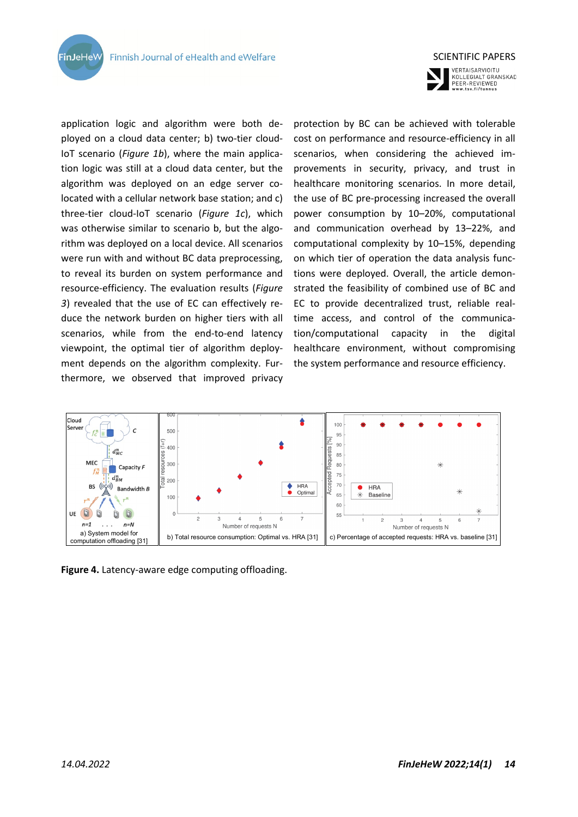**FinJeHeW** 



VERTAISARVIOITU **VERTAISARVIOTTO**<br>KOLLEGIALT GRANSKAD<br>PEER-REVIEWED<br>www.tsv.fi/tunnus

application logic and algorithm were both deployed on a cloud data center; b) two-tier cloud-IoT scenario (*Figure 1b*), where the main application logic was still at a cloud data center, but the algorithm was deployed on an edge server colocated with a cellular network base station; and c) three-tier cloud-IoT scenario (*Figure 1c*), which was otherwise similar to scenario b, but the algorithm was deployed on a local device. All scenarios were run with and without BC data preprocessing, to reveal its burden on system performance and resource-efficiency. The evaluation results (*Figure 3*) revealed that the use of EC can effectively reduce the network burden on higher tiers with all scenarios, while from the end-to-end latency viewpoint, the optimal tier of algorithm deployment depends on the algorithm complexity. Furthermore, we observed that improved privacy

protection by BC can be achieved with tolerable cost on performance and resource-efficiency in all scenarios, when considering the achieved improvements in security, privacy, and trust in healthcare monitoring scenarios. In more detail, the use of BC pre-processing increased the overall power consumption by 10–20%, computational and communication overhead by 13–22%, and computational complexity by 10–15%, depending on which tier of operation the data analysis functions were deployed. Overall, the article demonstrated the feasibility of combined use of BC and EC to provide decentralized trust, reliable realtime access, and control of the communication/computational capacity in the digital healthcare environment, without compromising the system performance and resource efficiency.



**Figure 4.** Latency-aware edge computing offloading.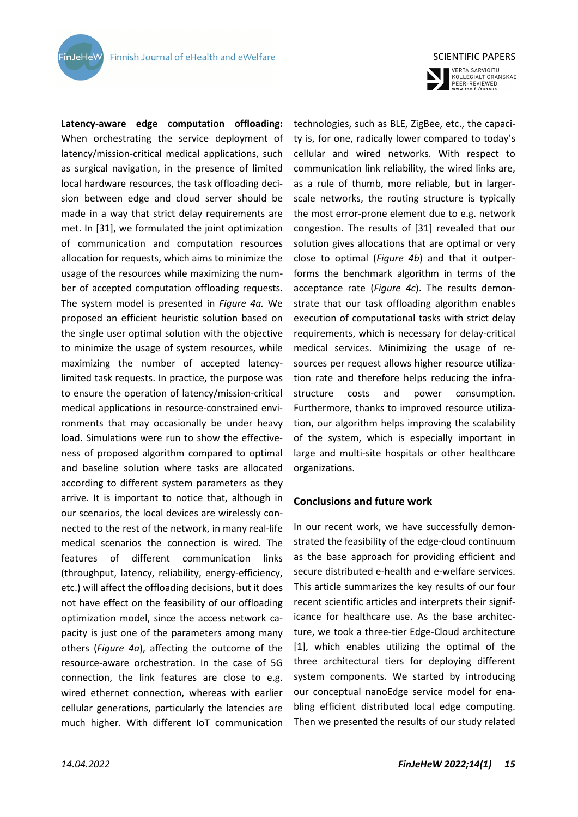**FinJeHeV** 

**Latency-aware edge computation offloading:** When orchestrating the service deployment of latency/mission-critical medical applications, such as surgical navigation, in the presence of limited local hardware resources, the task offloading decision between edge and cloud server should be made in a way that strict delay requirements are met. In [31], we formulated the joint optimization of communication and computation resources allocation for requests, which aims to minimize the usage of the resources while maximizing the number of accepted computation offloading requests. The system model is presented in *Figure 4a.* We proposed an efficient heuristic solution based on the single user optimal solution with the objective to minimize the usage of system resources, while maximizing the number of accepted latencylimited task requests. In practice, the purpose was to ensure the operation of latency/mission-critical medical applications in resource-constrained environments that may occasionally be under heavy load. Simulations were run to show the effectiveness of proposed algorithm compared to optimal and baseline solution where tasks are allocated according to different system parameters as they arrive. It is important to notice that, although in our scenarios, the local devices are wirelessly connected to the rest of the network, in many real-life medical scenarios the connection is wired. The features of different communication links (throughput, latency, reliability, energy-efficiency, etc.) will affect the offloading decisions, but it does not have effect on the feasibility of our offloading optimization model, since the access network capacity is just one of the parameters among many others (*Figure 4a*), affecting the outcome of the resource-aware orchestration. In the case of 5G connection, the link features are close to e.g. wired ethernet connection, whereas with earlier cellular generations, particularly the latencies are much higher. With different IoT communication



VERTAISARVIOITU<br>KOLLEGIALT GRANSKAD<br>PEER-REVIEWED<br>www.tsv.fi/tunnus

technologies, such as BLE, ZigBee, etc., the capacity is, for one, radically lower compared to today's cellular and wired networks. With respect to communication link reliability, the wired links are, as a rule of thumb, more reliable, but in largerscale networks, the routing structure is typically the most error-prone element due to e.g. network congestion. The results of [31] revealed that our solution gives allocations that are optimal or very close to optimal (*Figure 4b*) and that it outperforms the benchmark algorithm in terms of the acceptance rate (*Figure 4c*). The results demonstrate that our task offloading algorithm enables execution of computational tasks with strict delay requirements, which is necessary for delay-critical medical services. Minimizing the usage of resources per request allows higher resource utilization rate and therefore helps reducing the infrastructure costs and power consumption. Furthermore, thanks to improved resource utilization, our algorithm helps improving the scalability of the system, which is especially important in large and multi-site hospitals or other healthcare organizations.

#### **Conclusions and future work**

In our recent work, we have successfully demonstrated the feasibility of the edge-cloud continuum as the base approach for providing efficient and secure distributed e-health and e-welfare services. This article summarizes the key results of our four recent scientific articles and interprets their significance for healthcare use. As the base architecture, we took a three-tier Edge-Cloud architecture [1], which enables utilizing the optimal of the three architectural tiers for deploying different system components. We started by introducing our conceptual nanoEdge service model for enabling efficient distributed local edge computing. Then we presented the results of our study related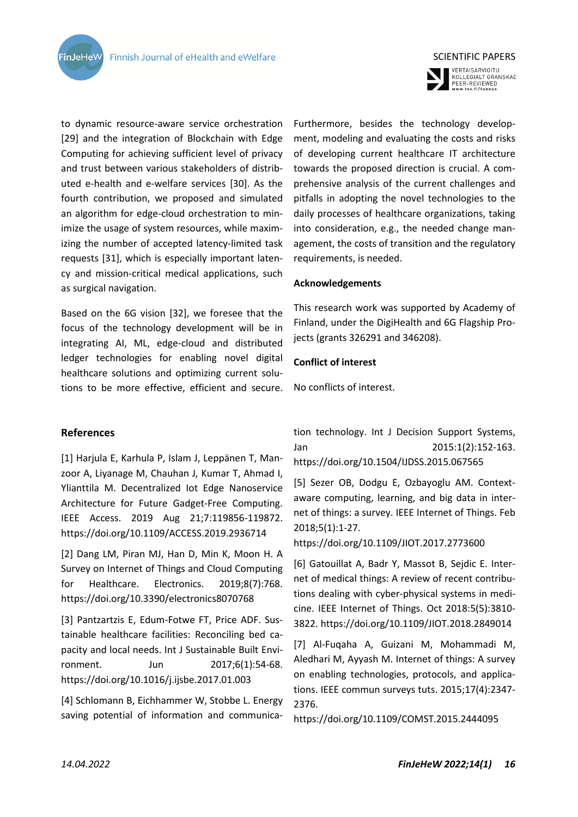

VERTAISARVIOITU<br>KOLLEGIALT GRANSKAD<br>PEER-REVIEWED<br>www.tsv.fi/tunnus

to dynamic resource-aware service orchestration [29] and the integration of Blockchain with Edge Computing for achieving sufficient level of privacy and trust between various stakeholders of distributed e-health and e-welfare services [30]. As the fourth contribution, we proposed and simulated an algorithm for edge-cloud orchestration to minimize the usage of system resources, while maximizing the number of accepted latency-limited task requests [31], which is especially important latency and mission-critical medical applications, such as surgical navigation.

Based on the 6G vision [32], we foresee that the focus of the technology development will be in integrating AI, ML, edge-cloud and distributed ledger technologies for enabling novel digital healthcare solutions and optimizing current solutions to be more effective, efficient and secure.

**References**

**FinJeHeW** 

[1] Harjula E, Karhula P, Islam J, Leppänen T, Manzoor A, Liyanage M, Chauhan J, Kumar T, Ahmad I, Ylianttila M. Decentralized Iot Edge Nanoservice Architecture for Future Gadget-Free Computing. IEEE Access. 2019 Aug 21;7:119856-119872. https://doi.org/10.1109/ACCESS.2019.2936714

[2] Dang LM, Piran MJ, Han D, Min K, Moon H. A Survey on Internet of Things and Cloud Computing for Healthcare. Electronics. 2019;8(7):768. https://doi.org/10.3390/electronics8070768

[3] Pantzartzis E, Edum-Fotwe FT, Price ADF. Sustainable healthcare facilities: Reconciling bed capacity and local needs. Int J Sustainable Built Environment. Jun 2017;6(1):54-68. https://doi.org/10.1016/j.ijsbe.2017.01.003

[4] Schlomann B, Eichhammer W, Stobbe L. Energy saving potential of information and communicaFurthermore, besides the technology development, modeling and evaluating the costs and risks of developing current healthcare IT architecture towards the proposed direction is crucial. A comprehensive analysis of the current challenges and pitfalls in adopting the novel technologies to the daily processes of healthcare organizations, taking into consideration, e.g., the needed change management, the costs of transition and the regulatory requirements, is needed.

#### **Acknowledgements**

This research work was supported by Academy of Finland, under the DigiHealth and 6G Flagship Projects (grants 326291 and 346208).

#### **Conflict of interest**

No conflicts of interest.

tion technology. Int J Decision Support Systems, Jan 2015:1(2):152-163. https://doi.org/10.1504/IJDSS.2015.067565

[5] Sezer OB, Dodgu E, Ozbayoglu AM. Contextaware computing, learning, and big data in internet of things: a survey. IEEE Internet of Things. Feb 2018;5(1):1-27.

https://doi.org/10.1109/JIOT.2017.2773600

[6] Gatouillat A, Badr Y, Massot B, Sejdic E. Internet of medical things: A review of recent contributions dealing with cyber-physical systems in medicine. IEEE Internet of Things. Oct 2018:5(5):3810- 3822. https://doi.org/10.1109/JIOT.2018.2849014

[7] Al-Fuqaha A, Guizani M, Mohammadi M, Aledhari M, Ayyash M. Internet of things: A survey on enabling technologies, protocols, and applications. IEEE commun surveys tuts. 2015;17(4):2347- 2376.

https://doi.org/10.1109/COMST.2015.2444095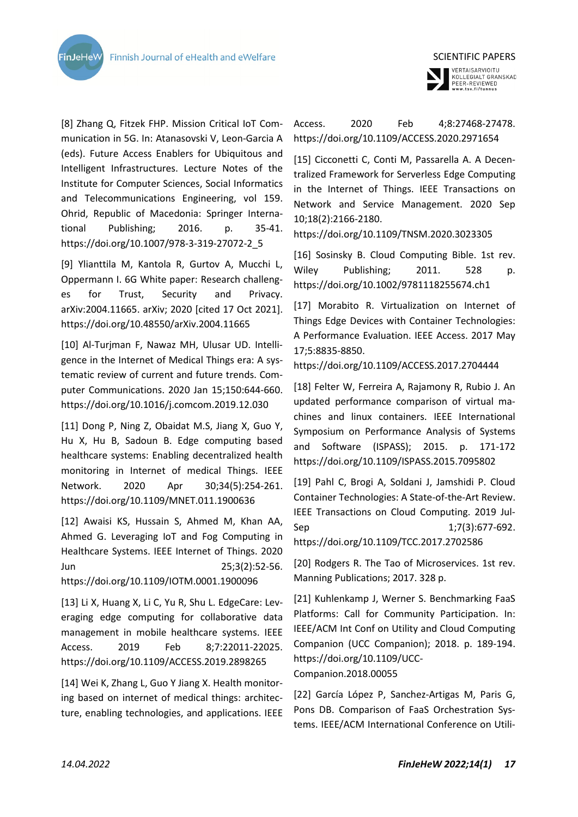



VERTAISARVIOITU<br>KOLLEGIALT GRANSKAD<br>PEER-REVIEWED<br>www.tsv.fi/tunnus

[8] Zhang Q, Fitzek FHP. Mission Critical IoT Communication in 5G. In: Atanasovski V, Leon-Garcia A (eds). Future Access Enablers for Ubiquitous and Intelligent Infrastructures. Lecture Notes of the Institute for Computer Sciences, Social Informatics and Telecommunications Engineering, vol 159. Ohrid, Republic of Macedonia: Springer International Publishing; 2016. p. 35-41. https://doi.org/10.1007/978-3-319-27072-2\_5

[9] Ylianttila M, Kantola R, Gurtov A, Mucchi L, Oppermann I. 6G White paper: Research challenges for Trust, Security and Privacy. arXiv:2004.11665. arXiv; 2020 [cited 17 Oct 2021]. https://doi.org/10.48550/arXiv.2004.11665

[10] Al-Turjman F, Nawaz MH, Ulusar UD. Intelligence in the Internet of Medical Things era: A systematic review of current and future trends. Computer Communications. 2020 Jan 15;150:644-660. https://doi.org/10.1016/j.comcom.2019.12.030

[11] Dong P, Ning Z, Obaidat M.S, Jiang X, Guo Y, Hu X, Hu B, Sadoun B. Edge computing based healthcare systems: Enabling decentralized health monitoring in Internet of medical Things. IEEE Network. 2020 Apr 30;34(5):254-261. https://doi.org/10.1109/MNET.011.1900636

[12] Awaisi KS, Hussain S, Ahmed M, Khan AA, Ahmed G. Leveraging IoT and Fog Computing in Healthcare Systems. IEEE Internet of Things. 2020 Jun 25;3(2):52-56. https://doi.org/10.1109/IOTM.0001.1900096

[13] Li X, Huang X, Li C, Yu R, Shu L. EdgeCare: Leveraging edge computing for collaborative data management in mobile healthcare systems. IEEE Access. 2019 Feb 8;7:22011-22025. https://doi.org/10.1109/ACCESS.2019.2898265

[14] Wei K, Zhang L, Guo Y Jiang X. Health monitoring based on internet of medical things: architecture, enabling technologies, and applications. IEEE

## Access. 2020 Feb 4;8:27468-27478. https://doi.org/10.1109/ACCESS.2020.2971654

[15] Cicconetti C, Conti M, Passarella A. A Decentralized Framework for Serverless Edge Computing in the Internet of Things. IEEE Transactions on Network and Service Management. 2020 Sep 10;18(2):2166-2180.

https://doi.org/10.1109/TNSM.2020.3023305

[16] Sosinsky B. Cloud Computing Bible. 1st rev. Wiley Publishing; 2011. 528 p. https://doi.org/10.1002/9781118255674.ch1

[17] Morabito R. Virtualization on Internet of Things Edge Devices with Container Technologies: A Performance Evaluation. IEEE Access. 2017 May 17;5:8835-8850.

```
https://doi.org/10.1109/ACCESS.2017.2704444
```
[18] Felter W, Ferreira A, Rajamony R, Rubio J. An updated performance comparison of virtual machines and linux containers. IEEE International Symposium on Performance Analysis of Systems and Software (ISPASS); 2015. p. 171-172 https://doi.org/10.1109/ISPASS.2015.7095802

[19] Pahl C, Brogi A, Soldani J, Jamshidi P. Cloud Container Technologies: A State-of-the-Art Review. IEEE Transactions on Cloud Computing. 2019 Jul-Sep 1;7(3):677-692.

https://doi.org/10.1109/TCC.2017.2702586

[20] Rodgers R. The Tao of Microservices. 1st rev. Manning Publications; 2017. 328 p.

[21] Kuhlenkamp J, Werner S. Benchmarking FaaS Platforms: Call for Community Participation. In: IEEE/ACM Int Conf on Utility and Cloud Computing Companion (UCC Companion); 2018. p. 189-194. https://doi.org/10.1109/UCC-

Companion.2018.00055

[22] García López P, Sanchez-Artigas M, Paris G, Pons DB. Comparison of FaaS Orchestration Systems. IEEE/ACM International Conference on Utili-